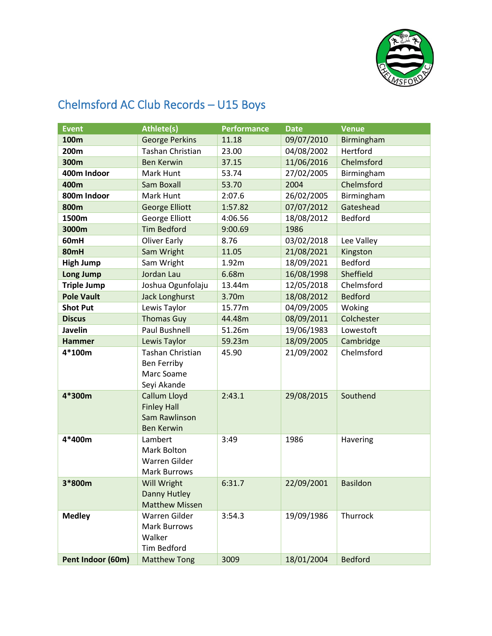

## Chelmsford AC Club Records – U15 Boys

| Event              | <b>Athlete(s)</b>                                                    | <b>Performance</b> | <b>Date</b> | <b>Venue</b>   |
|--------------------|----------------------------------------------------------------------|--------------------|-------------|----------------|
| 100m               | <b>George Perkins</b>                                                | 11.18              | 09/07/2010  | Birmingham     |
| 200m               | <b>Tashan Christian</b>                                              | 23.00              | 04/08/2002  | Hertford       |
| 300m               | <b>Ben Kerwin</b>                                                    | 37.15              | 11/06/2016  | Chelmsford     |
| 400m Indoor        | Mark Hunt                                                            | 53.74              | 27/02/2005  | Birmingham     |
| 400m               | Sam Boxall                                                           | 53.70              | 2004        | Chelmsford     |
| 800m Indoor        | Mark Hunt                                                            | 2:07.6             | 26/02/2005  | Birmingham     |
| 800m               | <b>George Elliott</b>                                                | 1:57.82            | 07/07/2012  | Gateshead      |
| 1500m              | George Elliott                                                       | 4:06.56            | 18/08/2012  | <b>Bedford</b> |
| 3000m              | <b>Tim Bedford</b>                                                   | 9:00.69            | 1986        |                |
| 60mH               | <b>Oliver Early</b>                                                  | 8.76               | 03/02/2018  | Lee Valley     |
| 80mH               | Sam Wright                                                           | 11.05              | 21/08/2021  | Kingston       |
| <b>High Jump</b>   | Sam Wright                                                           | 1.92m              | 18/09/2021  | <b>Bedford</b> |
| <b>Long Jump</b>   | Jordan Lau                                                           | 6.68m              | 16/08/1998  | Sheffield      |
| <b>Triple Jump</b> | Joshua Ogunfolaju                                                    | 13.44m             | 12/05/2018  | Chelmsford     |
| <b>Pole Vault</b>  | <b>Jack Longhurst</b>                                                | 3.70m              | 18/08/2012  | <b>Bedford</b> |
| <b>Shot Put</b>    | Lewis Taylor                                                         | 15.77m             | 04/09/2005  | Woking         |
| <b>Discus</b>      | <b>Thomas Guy</b>                                                    | 44.48m             | 08/09/2011  | Colchester     |
| Javelin            | Paul Bushnell                                                        | 51.26m             | 19/06/1983  | Lowestoft      |
| <b>Hammer</b>      | Lewis Taylor                                                         | 59.23m             | 18/09/2005  | Cambridge      |
| 4*100m             | <b>Tashan Christian</b><br><b>Ben Ferriby</b><br>Marc Soame          | 45.90              | 21/09/2002  | Chelmsford     |
|                    | Seyi Akande                                                          |                    |             |                |
| 4*300m             | Callum Lloyd                                                         | 2:43.1             | 29/08/2015  | Southend       |
|                    | <b>Finley Hall</b><br>Sam Rawlinson<br><b>Ben Kerwin</b>             |                    |             |                |
| 4*400m             | Lambert<br>Mark Bolton<br>Warren Gilder<br><b>Mark Burrows</b>       | 3:49               | 1986        | Havering       |
| 3*800m             | Will Wright<br><b>Danny Hutley</b><br><b>Matthew Missen</b>          | 6:31.7             | 22/09/2001  | Basildon       |
| <b>Medley</b>      | Warren Gilder<br><b>Mark Burrows</b><br>Walker<br><b>Tim Bedford</b> | 3:54.3             | 19/09/1986  | Thurrock       |
| Pent Indoor (60m)  | <b>Matthew Tong</b>                                                  | 3009               | 18/01/2004  | <b>Bedford</b> |